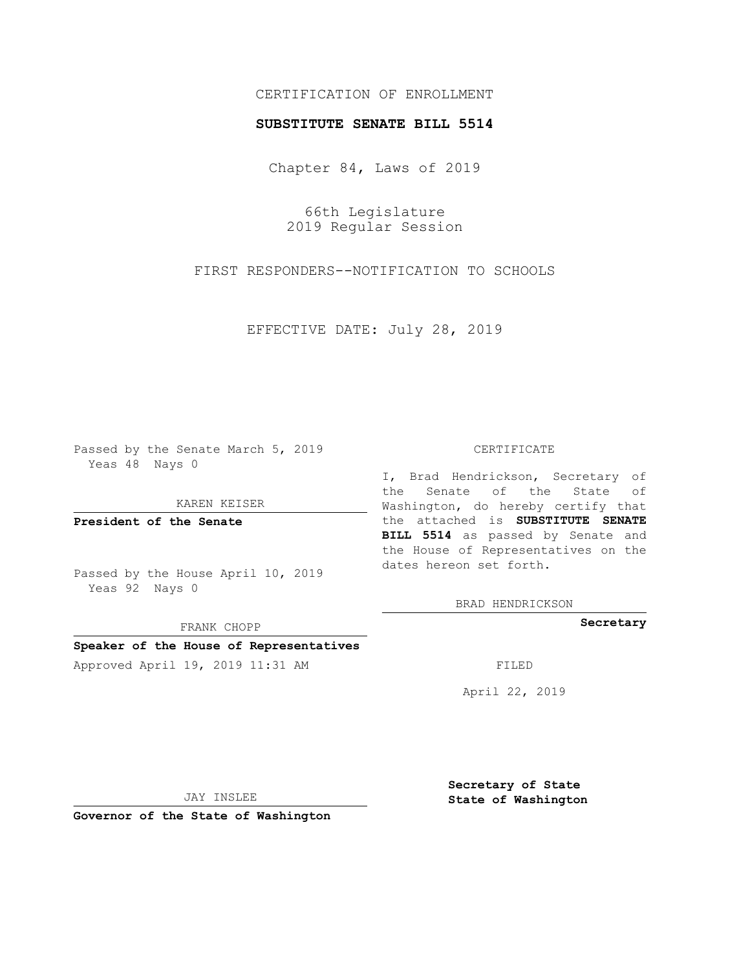# CERTIFICATION OF ENROLLMENT

## **SUBSTITUTE SENATE BILL 5514**

Chapter 84, Laws of 2019

66th Legislature 2019 Regular Session

FIRST RESPONDERS--NOTIFICATION TO SCHOOLS

EFFECTIVE DATE: July 28, 2019

Passed by the Senate March 5, 2019 Yeas 48 Nays 0

KAREN KEISER

**President of the Senate**

Passed by the House April 10, 2019 Yeas 92 Nays 0

FRANK CHOPP

## **Speaker of the House of Representatives**

Approved April 19, 2019 11:31 AM FILED

#### CERTIFICATE

I, Brad Hendrickson, Secretary of the Senate of the State of Washington, do hereby certify that the attached is **SUBSTITUTE SENATE BILL 5514** as passed by Senate and the House of Representatives on the dates hereon set forth.

BRAD HENDRICKSON

**Secretary**

April 22, 2019

JAY INSLEE

**Governor of the State of Washington**

**Secretary of State State of Washington**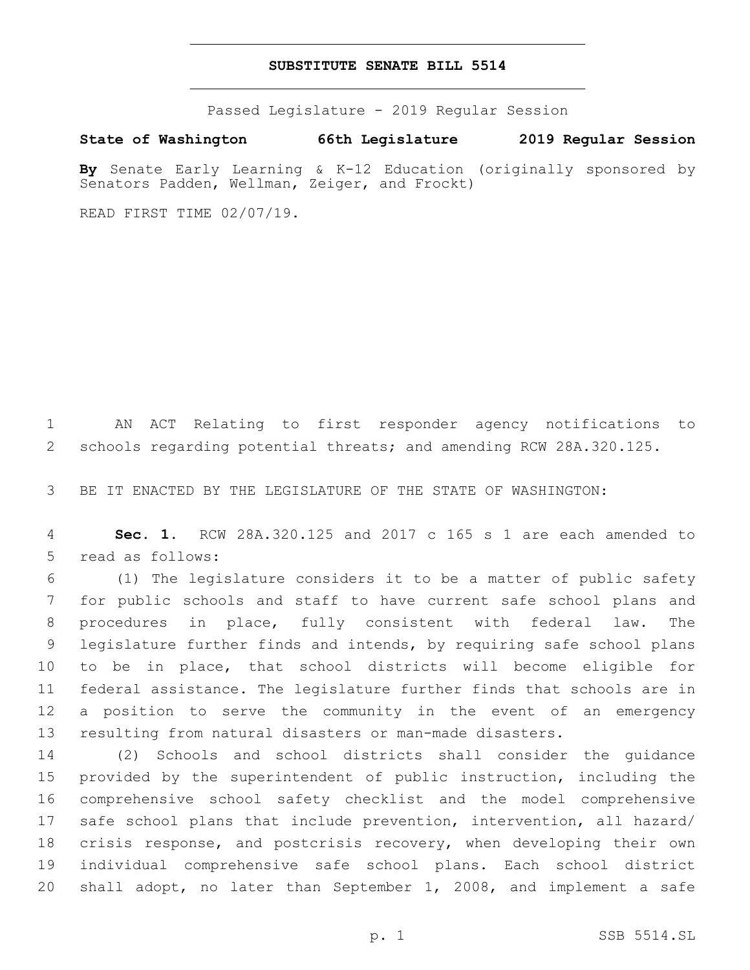## **SUBSTITUTE SENATE BILL 5514**

Passed Legislature - 2019 Regular Session

**State of Washington 66th Legislature 2019 Regular Session**

**By** Senate Early Learning & K-12 Education (originally sponsored by Senators Padden, Wellman, Zeiger, and Frockt)

READ FIRST TIME 02/07/19.

 AN ACT Relating to first responder agency notifications to schools regarding potential threats; and amending RCW 28A.320.125.

BE IT ENACTED BY THE LEGISLATURE OF THE STATE OF WASHINGTON:

 **Sec. 1.** RCW 28A.320.125 and 2017 c 165 s 1 are each amended to 5 read as follows:

 (1) The legislature considers it to be a matter of public safety for public schools and staff to have current safe school plans and procedures in place, fully consistent with federal law. The legislature further finds and intends, by requiring safe school plans to be in place, that school districts will become eligible for federal assistance. The legislature further finds that schools are in a position to serve the community in the event of an emergency resulting from natural disasters or man-made disasters.

 (2) Schools and school districts shall consider the guidance provided by the superintendent of public instruction, including the comprehensive school safety checklist and the model comprehensive safe school plans that include prevention, intervention, all hazard/ crisis response, and postcrisis recovery, when developing their own individual comprehensive safe school plans. Each school district shall adopt, no later than September 1, 2008, and implement a safe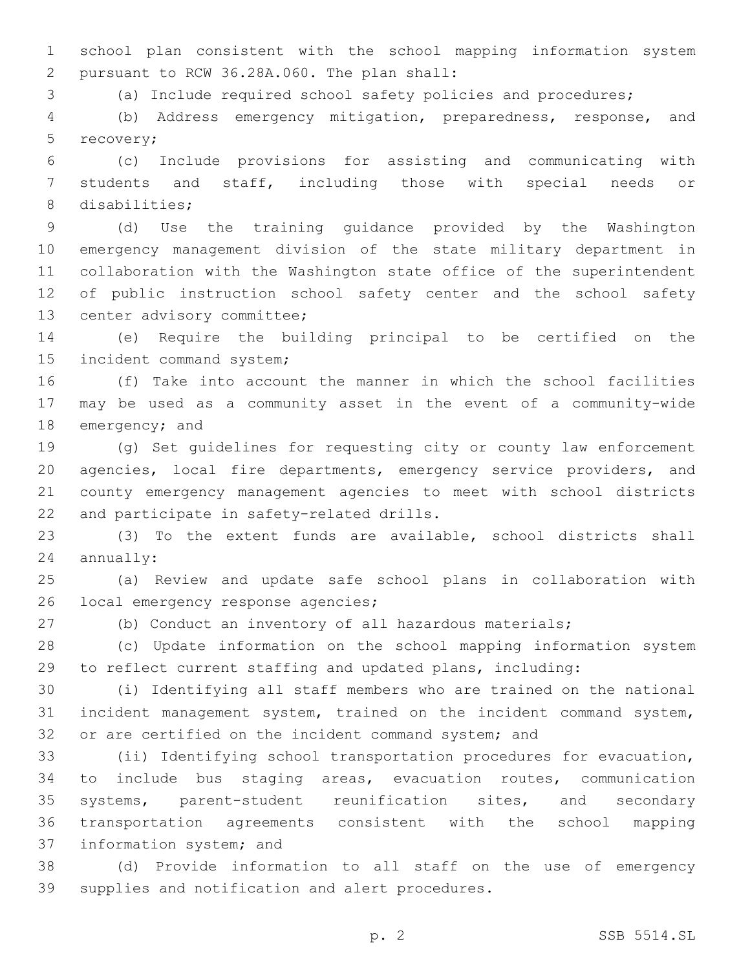school plan consistent with the school mapping information system pursuant to RCW 36.28A.060. The plan shall:2

(a) Include required school safety policies and procedures;

 (b) Address emergency mitigation, preparedness, response, and 5 recovery;

 (c) Include provisions for assisting and communicating with students and staff, including those with special needs or 8 disabilities;

 (d) Use the training guidance provided by the Washington emergency management division of the state military department in collaboration with the Washington state office of the superintendent of public instruction school safety center and the school safety 13 center advisory committee;

 (e) Require the building principal to be certified on the 15 incident command system;

 (f) Take into account the manner in which the school facilities may be used as a community asset in the event of a community-wide 18 emergency; and

 (g) Set guidelines for requesting city or county law enforcement agencies, local fire departments, emergency service providers, and county emergency management agencies to meet with school districts 22 and participate in safety-related drills.

 (3) To the extent funds are available, school districts shall annually:

 (a) Review and update safe school plans in collaboration with 26 local emergency response agencies;

(b) Conduct an inventory of all hazardous materials;

 (c) Update information on the school mapping information system to reflect current staffing and updated plans, including:

 (i) Identifying all staff members who are trained on the national incident management system, trained on the incident command system, or are certified on the incident command system; and

 (ii) Identifying school transportation procedures for evacuation, to include bus staging areas, evacuation routes, communication systems, parent-student reunification sites, and secondary transportation agreements consistent with the school mapping 37 information system; and

 (d) Provide information to all staff on the use of emergency 39 supplies and notification and alert procedures.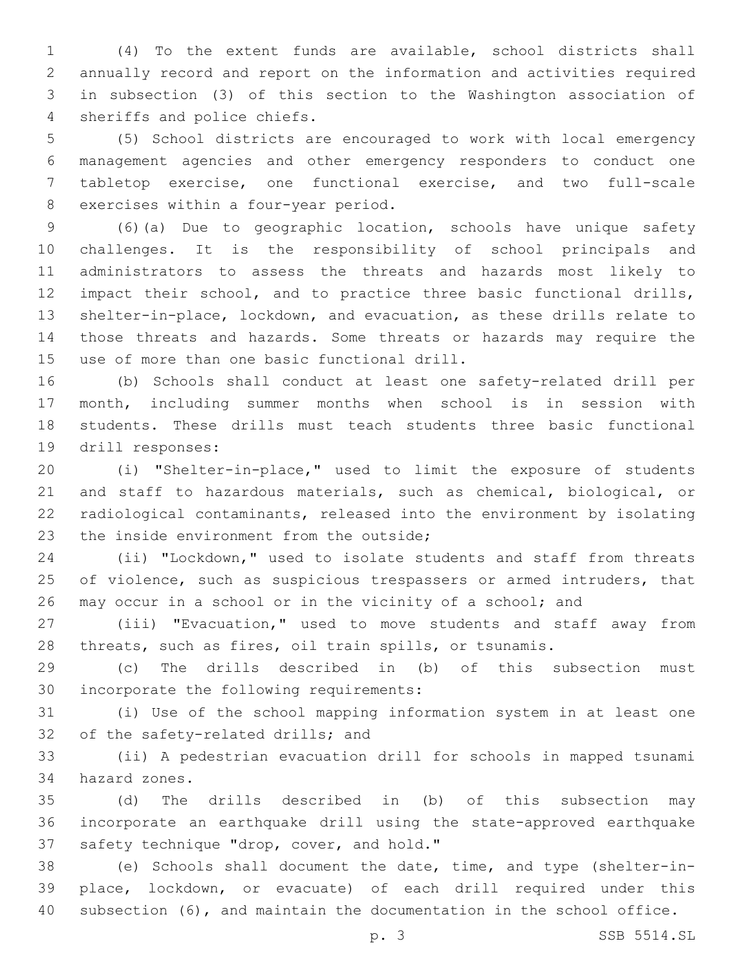(4) To the extent funds are available, school districts shall annually record and report on the information and activities required in subsection (3) of this section to the Washington association of 4 sheriffs and police chiefs.

 (5) School districts are encouraged to work with local emergency management agencies and other emergency responders to conduct one tabletop exercise, one functional exercise, and two full-scale 8 exercises within a four-year period.

 (6)(a) Due to geographic location, schools have unique safety challenges. It is the responsibility of school principals and administrators to assess the threats and hazards most likely to impact their school, and to practice three basic functional drills, shelter-in-place, lockdown, and evacuation, as these drills relate to those threats and hazards. Some threats or hazards may require the 15 use of more than one basic functional drill.

 (b) Schools shall conduct at least one safety-related drill per month, including summer months when school is in session with students. These drills must teach students three basic functional 19 drill responses:

 (i) "Shelter-in-place," used to limit the exposure of students and staff to hazardous materials, such as chemical, biological, or radiological contaminants, released into the environment by isolating 23 the inside environment from the outside;

 (ii) "Lockdown," used to isolate students and staff from threats 25 of violence, such as suspicious trespassers or armed intruders, that may occur in a school or in the vicinity of a school; and

 (iii) "Evacuation," used to move students and staff away from threats, such as fires, oil train spills, or tsunamis.

 (c) The drills described in (b) of this subsection must 30 incorporate the following requirements:

 (i) Use of the school mapping information system in at least one 32 of the safety-related drills; and

 (ii) A pedestrian evacuation drill for schools in mapped tsunami hazard zones.34

 (d) The drills described in (b) of this subsection may incorporate an earthquake drill using the state-approved earthquake 37 safety technique "drop, cover, and hold."

 (e) Schools shall document the date, time, and type (shelter-in- place, lockdown, or evacuate) of each drill required under this subsection (6), and maintain the documentation in the school office.